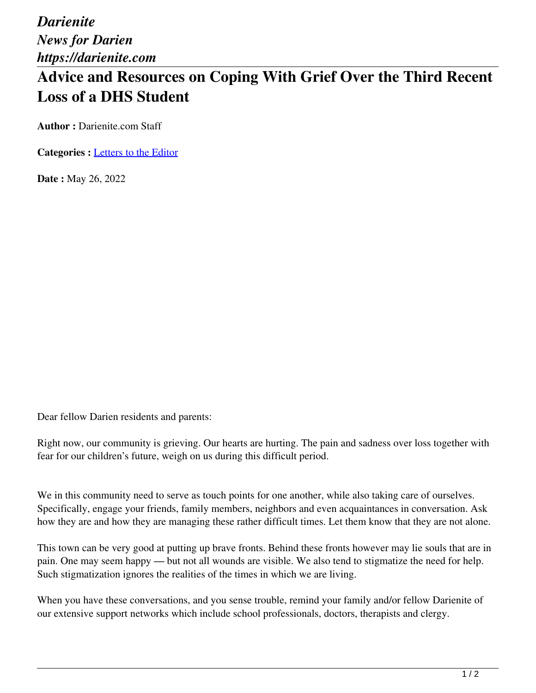*Darienite News for Darien https://darienite.com*

## **Advice and Resources on Coping With Grief Over the Third Recent Loss of a DHS Student**

**Author :** Darienite.com Staff

**Categories :** [Letters to the Editor](https://darienite.com/category/letters-to-the-editor)

**Date :** May 26, 2022

Dear fellow Darien residents and parents:

Right now, our community is grieving. Our hearts are hurting. The pain and sadness over loss together with fear for our children's future, weigh on us during this difficult period.

We in this community need to serve as touch points for one another, while also taking care of ourselves. Specifically, engage your friends, family members, neighbors and even acquaintances in conversation. Ask how they are and how they are managing these rather difficult times. Let them know that they are not alone.

This town can be very good at putting up brave fronts. Behind these fronts however may lie souls that are in pain. One may seem happy — but not all wounds are visible. We also tend to stigmatize the need for help. Such stigmatization ignores the realities of the times in which we are living.

When you have these conversations, and you sense trouble, remind your family and/or fellow Darienite of our extensive support networks which include school professionals, doctors, therapists and clergy.